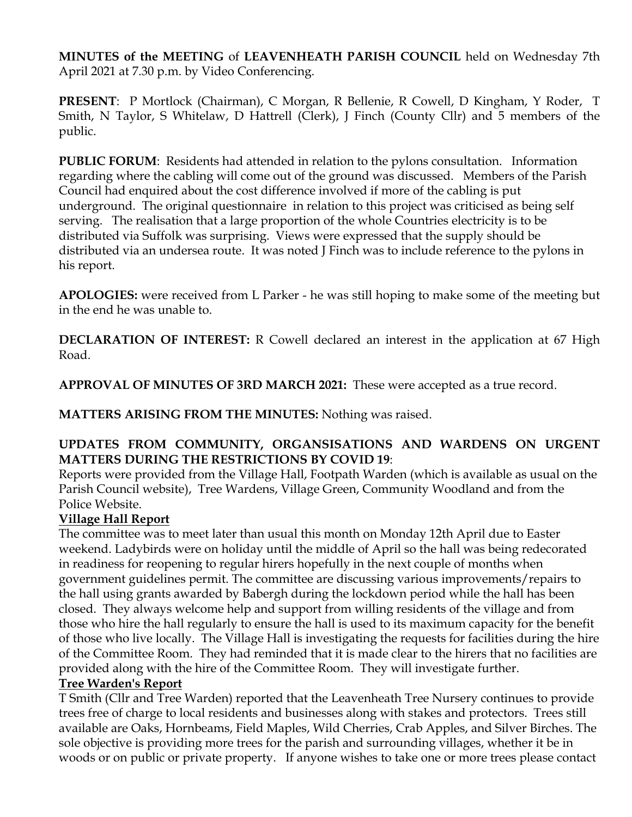**MINUTES of the MEETING** of **LEAVENHEATH PARISH COUNCIL** held on Wednesday 7th April 2021 at 7.30 p.m. by Video Conferencing.

**PRESENT**: P Mortlock (Chairman), C Morgan, R Bellenie, R Cowell, D Kingham, Y Roder, T Smith, N Taylor, S Whitelaw, D Hattrell (Clerk), J Finch (County Cllr) and 5 members of the public.

**PUBLIC FORUM**: Residents had attended in relation to the pylons consultation. Information regarding where the cabling will come out of the ground was discussed. Members of the Parish Council had enquired about the cost difference involved if more of the cabling is put underground. The original questionnaire in relation to this project was criticised as being self serving. The realisation that a large proportion of the whole Countries electricity is to be distributed via Suffolk was surprising. Views were expressed that the supply should be distributed via an undersea route. It was noted J Finch was to include reference to the pylons in his report.

**APOLOGIES:** were received from L Parker - he was still hoping to make some of the meeting but in the end he was unable to.

**DECLARATION OF INTEREST:** R Cowell declared an interest in the application at 67 High Road.

**APPROVAL OF MINUTES OF 3RD MARCH 2021:** These were accepted as a true record.

**MATTERS ARISING FROM THE MINUTES:** Nothing was raised.

### **UPDATES FROM COMMUNITY, ORGANSISATIONS AND WARDENS ON URGENT MATTERS DURING THE RESTRICTIONS BY COVID 19**:

Reports were provided from the Village Hall, Footpath Warden (which is available as usual on the Parish Council website), Tree Wardens, Village Green, Community Woodland and from the Police Website.

# **Village Hall Report**

The committee was to meet later than usual this month on Monday 12th April due to Easter weekend. Ladybirds were on holiday until the middle of April so the hall was being redecorated in readiness for reopening to regular hirers hopefully in the next couple of months when government guidelines permit. The committee are discussing various improvements/repairs to the hall using grants awarded by Babergh during the lockdown period while the hall has been closed. They always welcome help and support from willing residents of the village and from those who hire the hall regularly to ensure the hall is used to its maximum capacity for the benefit of those who live locally. The Village Hall is investigating the requests for facilities during the hire of the Committee Room. They had reminded that it is made clear to the hirers that no facilities are provided along with the hire of the Committee Room. They will investigate further.

### **Tree Warden's Report**

T Smith (Cllr and Tree Warden) reported that the Leavenheath Tree Nursery continues to provide trees free of charge to local residents and businesses along with stakes and protectors. Trees still available are Oaks, Hornbeams, Field Maples, Wild Cherries, Crab Apples, and Silver Birches. The sole objective is providing more trees for the parish and surrounding villages, whether it be in woods or on public or private property. If anyone wishes to take one or more trees please contact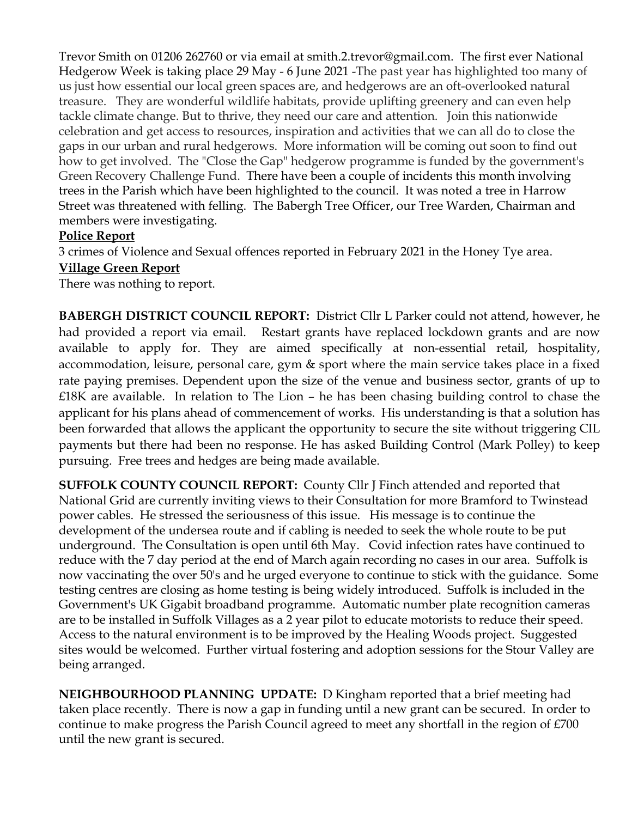Trevor Smith on 01206 262760 or via email at smith.2.trevor@gmail.com. The first ever National Hedgerow Week is taking place 29 May - 6 June 2021 -The past year has highlighted too many of us just how essential our local green spaces are, and hedgerows are an oft-overlooked natural treasure. They are wonderful wildlife habitats, provide uplifting greenery and can even help tackle climate change. But to thrive, they need our care and attention. Join this nationwide celebration and get access to resources, inspiration and activities that we can all do to close the gaps in our urban and rural hedgerows. More information will be coming out soon to find out how to get involved. The "Close the Gap" hedgerow programme is funded by the government's Green Recovery Challenge Fund. There have been a couple of incidents this month involving trees in the Parish which have been highlighted to the council. It was noted a tree in Harrow Street was threatened with felling. The Babergh Tree Officer, our Tree Warden, Chairman and members were investigating.

## **Police Report**

3 crimes of Violence and Sexual offences reported in February 2021 in the Honey Tye area.

### **Village Green Report**

There was nothing to report.

**BABERGH DISTRICT COUNCIL REPORT:** District Cllr L Parker could not attend, however, he had provided a report via email. Restart grants have replaced lockdown grants and are now available to apply for. They are aimed specifically at non-essential retail, hospitality, accommodation, leisure, personal care, gym & sport where the main service takes place in a fixed rate paying premises. Dependent upon the size of the venue and business sector, grants of up to £18K are available. In relation to The Lion – he has been chasing building control to chase the applicant for his plans ahead of commencement of works. His understanding is that a solution has been forwarded that allows the applicant the opportunity to secure the site without triggering CIL payments but there had been no response. He has asked Building Control (Mark Polley) to keep pursuing. Free trees and hedges are being made available.

**SUFFOLK COUNTY COUNCIL REPORT:** County Cllr J Finch attended and reported that National Grid are currently inviting views to their Consultation for more Bramford to Twinstead power cables. He stressed the seriousness of this issue. His message is to continue the development of the undersea route and if cabling is needed to seek the whole route to be put underground. The Consultation is open until 6th May. Covid infection rates have continued to reduce with the 7 day period at the end of March again recording no cases in our area. Suffolk is now vaccinating the over 50's and he urged everyone to continue to stick with the guidance. Some testing centres are closing as home testing is being widely introduced. Suffolk is included in the Government's UK Gigabit broadband programme. Automatic number plate recognition cameras are to be installed in Suffolk Villages as a 2 year pilot to educate motorists to reduce their speed. Access to the natural environment is to be improved by the Healing Woods project. Suggested sites would be welcomed. Further virtual fostering and adoption sessions for the Stour Valley are being arranged.

**NEIGHBOURHOOD PLANNING UPDATE:** D Kingham reported that a brief meeting had taken place recently. There is now a gap in funding until a new grant can be secured. In order to continue to make progress the Parish Council agreed to meet any shortfall in the region of £700 until the new grant is secured.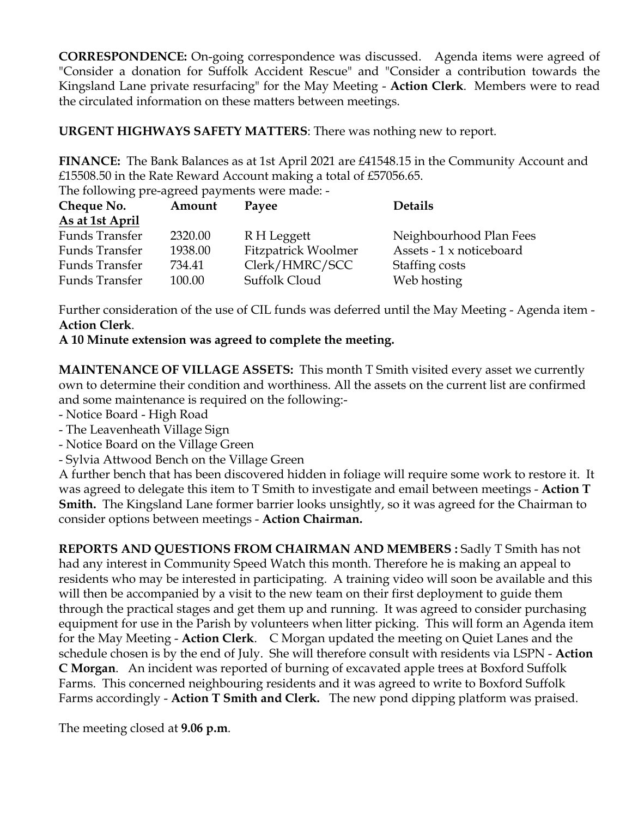**CORRESPONDENCE:** On-going correspondence was discussed. Agenda items were agreed of "Consider a donation for Suffolk Accident Rescue" and "Consider a contribution towards the Kingsland Lane private resurfacing" for the May Meeting - **Action Clerk**. Members were to read the circulated information on these matters between meetings.

**URGENT HIGHWAYS SAFETY MATTERS**: There was nothing new to report.

**FINANCE:** The Bank Balances as at 1st April 2021 are £41548.15 in the Community Account and £15508.50 in the Rate Reward Account making a total of £57056.65.

The following pre-agreed payments were made: -

| Cheque No.      | Amount  | Payee               | <b>Details</b>           |
|-----------------|---------|---------------------|--------------------------|
| As at 1st April |         |                     |                          |
| Funds Transfer  | 2320.00 | R H Leggett         | Neighbourhood Plan Fees  |
| Funds Transfer  | 1938.00 | Fitzpatrick Woolmer | Assets - 1 x noticeboard |
| Funds Transfer  | 734.41  | Clerk/HMRC/SCC      | Staffing costs           |
| Funds Transfer  | 100.00  | Suffolk Cloud       | Web hosting              |

Further consideration of the use of CIL funds was deferred until the May Meeting - Agenda item - **Action Clerk**.

**A 10 Minute extension was agreed to complete the meeting.**

**MAINTENANCE OF VILLAGE ASSETS:** This month T Smith visited every asset we currently own to determine their condition and worthiness. All the assets on the current list are confirmed and some maintenance is required on the following:-

- Notice Board High Road
- The Leavenheath Village Sign
- Notice Board on the Village Green
- Sylvia Attwood Bench on the Village Green

A further bench that has been discovered hidden in foliage will require some work to restore it. It was agreed to delegate this item to T Smith to investigate and email between meetings - **Action T Smith.** The Kingsland Lane former barrier looks unsightly, so it was agreed for the Chairman to consider options between meetings - **Action Chairman.**

**REPORTS AND QUESTIONS FROM CHAIRMAN AND MEMBERS :** Sadly T Smith has not had any interest in Community Speed Watch this month. Therefore he is making an appeal to residents who may be interested in participating. A training video will soon be available and this will then be accompanied by a visit to the new team on their first deployment to guide them through the practical stages and get them up and running. It was agreed to consider purchasing equipment for use in the Parish by volunteers when litter picking. This will form an Agenda item for the May Meeting - **Action Clerk**. C Morgan updated the meeting on Quiet Lanes and the schedule chosen is by the end of July. She will therefore consult with residents via LSPN - **Action C Morgan**. An incident was reported of burning of excavated apple trees at Boxford Suffolk Farms. This concerned neighbouring residents and it was agreed to write to Boxford Suffolk Farms accordingly - **Action T Smith and Clerk.** The new pond dipping platform was praised.

The meeting closed at **9.06 p.m**.